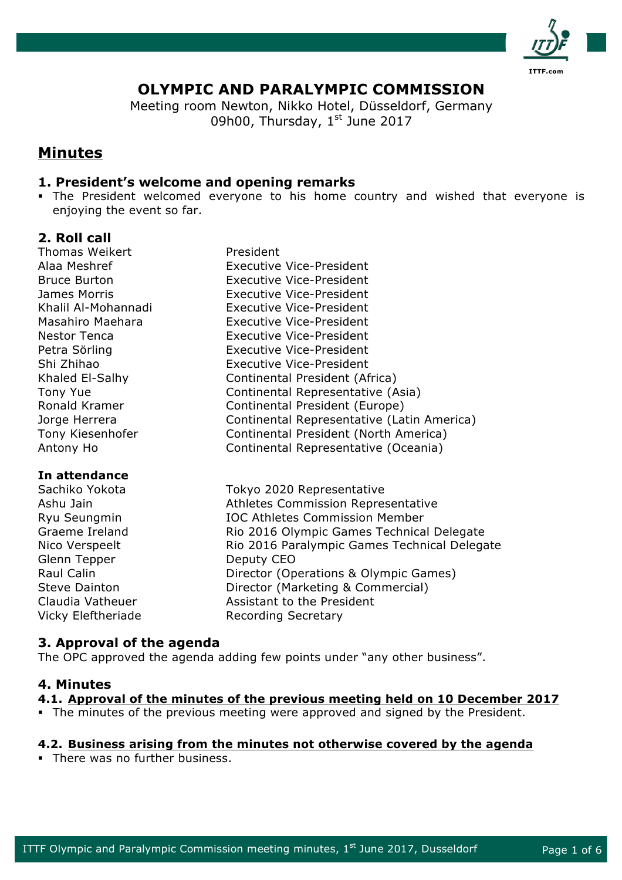

# **OLYMPIC AND PARALYMPIC COMMISSION**

Meeting room Newton, Nikko Hotel, Düsseldorf, Germany 09h00, Thursday,  $1<sup>st</sup>$  June 2017

# **Minutes**

# **1. President's welcome and opening remarks**

• The President welcomed everyone to his home country and wished that everyone is enjoying the event so far.

# **2. Roll call**

Thomas Weikert **President** 

## **In attendance**

Glenn Tepper Deputy CEO Vicky Eleftheriade Recording Secretary

Alaa Meshref Executive Vice-President Bruce Burton Executive Vice-President James Morris Executive Vice-President Khalil Al-Mohannadi Executive Vice-President Masahiro Maehara Executive Vice-President Nestor Tenca Executive Vice-President Petra Sörling **Executive Vice-President** Shi Zhihao Executive Vice-President Khaled El-Salhy Continental President (Africa) Tony Yue **Continental Representative (Asia)** Ronald Kramer Continental President (Europe) Jorge Herrera Continental Representative (Latin America) Tony Kiesenhofer Continental President (North America) Antony Ho Continental Representative (Oceania)

Sachiko Yokota Tokyo 2020 Representative Ashu Jain **Athletes Commission Representative** Ryu Seungmin IOC Athletes Commission Member Graeme Ireland Rio 2016 Olympic Games Technical Delegate Nico Verspeelt **Rio 2016 Paralympic Games Technical Delegate** Raul Calin **Director (Operations & Olympic Games)** Steve Dainton **Director (Marketing & Commercial)** Claudia Vatheuer **Assistant to the President** 

# **3. Approval of the agenda**

The OPC approved the agenda adding few points under "any other business".

## **4. Minutes**

## **4.1. Approval of the minutes of the previous meeting held on 10 December 2017**

§ The minutes of the previous meeting were approved and signed by the President.

## **4.2. Business arising from the minutes not otherwise covered by the agenda**

• There was no further business.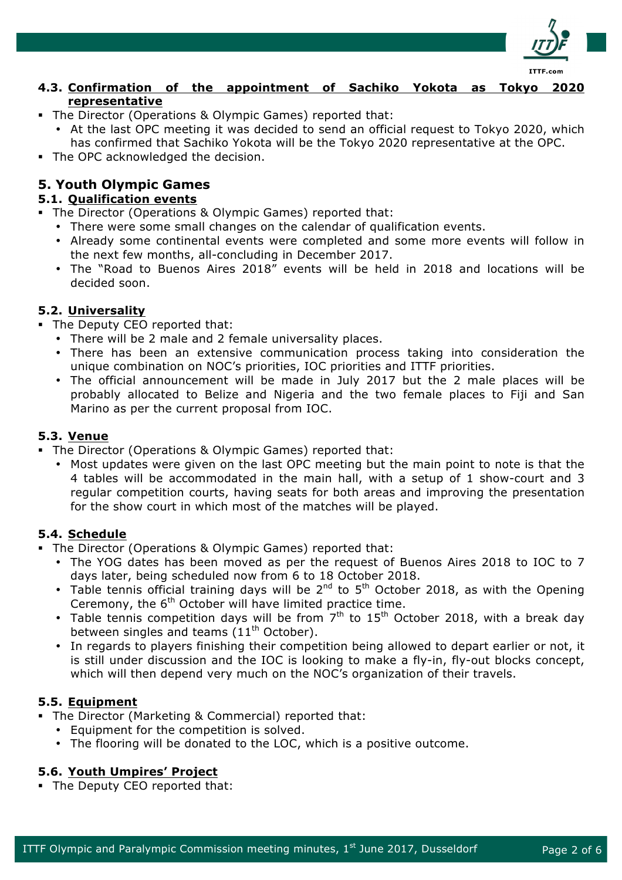

### **4.3. Confirmation of the appointment of Sachiko Yokota as Tokyo 2020 representative**

- The Director (Operations & Olympic Games) reported that:
	- At the last OPC meeting it was decided to send an official request to Tokyo 2020, which has confirmed that Sachiko Yokota will be the Tokyo 2020 representative at the OPC.
- The OPC acknowledged the decision.

# **5. Youth Olympic Games**

# **5.1. Qualification events**

- The Director (Operations & Olympic Games) reported that:
	- There were some small changes on the calendar of qualification events.
	- Already some continental events were completed and some more events will follow in the next few months, all-concluding in December 2017.
	- The "Road to Buenos Aires 2018" events will be held in 2018 and locations will be decided soon.

# **5.2. Universality**

- The Deputy CEO reported that:
	- There will be 2 male and 2 female universality places.
	- There has been an extensive communication process taking into consideration the unique combination on NOC's priorities, IOC priorities and ITTF priorities.
	- The official announcement will be made in July 2017 but the 2 male places will be probably allocated to Belize and Nigeria and the two female places to Fiji and San Marino as per the current proposal from IOC.

# **5.3. Venue**

- The Director (Operations & Olympic Games) reported that:
	- Most updates were given on the last OPC meeting but the main point to note is that the 4 tables will be accommodated in the main hall, with a setup of 1 show-court and 3 regular competition courts, having seats for both areas and improving the presentation for the show court in which most of the matches will be played.

## **5.4. Schedule**

- The Director (Operations & Olympic Games) reported that:
	- The YOG dates has been moved as per the request of Buenos Aires 2018 to IOC to 7 days later, being scheduled now from 6 to 18 October 2018.
	- Table tennis official training days will be  $2^{nd}$  to  $5^{th}$  October 2018, as with the Opening Ceremony, the 6<sup>th</sup> October will have limited practice time.
	- Table tennis competition days will be from  $7<sup>th</sup>$  to 15<sup>th</sup> October 2018, with a break day between singles and teams  $(11<sup>th</sup> October)$ .
	- In regards to players finishing their competition being allowed to depart earlier or not, it is still under discussion and the IOC is looking to make a fly-in, fly-out blocks concept, which will then depend very much on the NOC's organization of their travels.

## **5.5. Equipment**

- The Director (Marketing & Commercial) reported that:
	- Equipment for the competition is solved.
	- The flooring will be donated to the LOC, which is a positive outcome.

## **5.6. Youth Umpires' Project**

• The Deputy CEO reported that: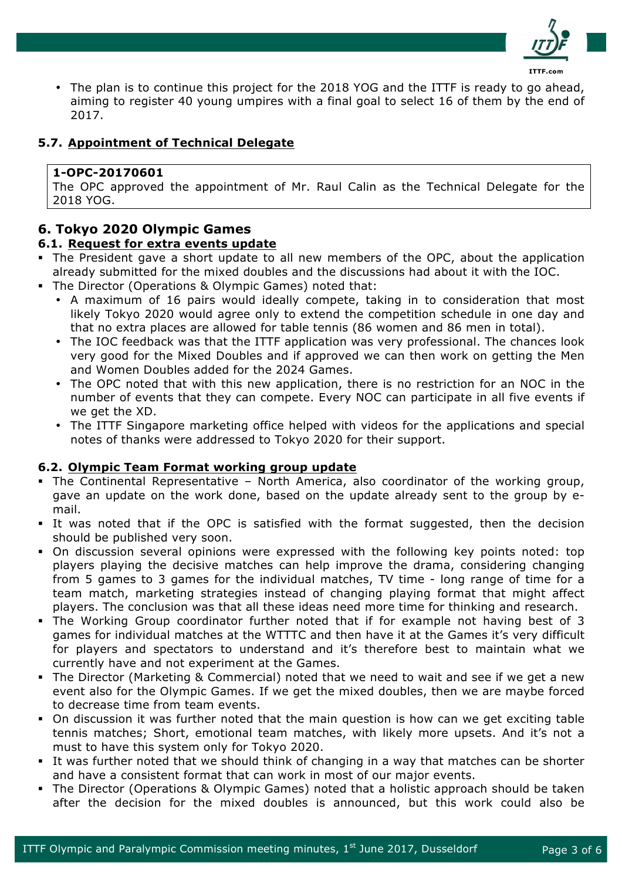

The plan is to continue this project for the 2018 YOG and the ITTF is ready to go ahead, aiming to register 40 young umpires with a final goal to select 16 of them by the end of 2017.

# **5.7. Appointment of Technical Delegate**

### **1-OPC-20170601**

The OPC approved the appointment of Mr. Raul Calin as the Technical Delegate for the 2018 YOG.

# **6. Tokyo 2020 Olympic Games**

#### **6.1. Request for extra events update**

- The President gave a short update to all new members of the OPC, about the application already submitted for the mixed doubles and the discussions had about it with the IOC.
- The Director (Operations & Olympic Games) noted that:
	- A maximum of 16 pairs would ideally compete, taking in to consideration that most likely Tokyo 2020 would agree only to extend the competition schedule in one day and that no extra places are allowed for table tennis (86 women and 86 men in total).
	- The IOC feedback was that the ITTF application was very professional. The chances look very good for the Mixed Doubles and if approved we can then work on getting the Men and Women Doubles added for the 2024 Games.
	- The OPC noted that with this new application, there is no restriction for an NOC in the number of events that they can compete. Every NOC can participate in all five events if we get the XD.
	- The ITTF Singapore marketing office helped with videos for the applications and special notes of thanks were addressed to Tokyo 2020 for their support.

#### **6.2. Olympic Team Format working group update**

- § The Continental Representative North America, also coordinator of the working group, gave an update on the work done, based on the update already sent to the group by email.
- It was noted that if the OPC is satisfied with the format suggested, then the decision should be published very soon.
- On discussion several opinions were expressed with the following key points noted: top players playing the decisive matches can help improve the drama, considering changing from 5 games to 3 games for the individual matches, TV time - long range of time for a team match, marketing strategies instead of changing playing format that might affect players. The conclusion was that all these ideas need more time for thinking and research.
- § The Working Group coordinator further noted that if for example not having best of 3 games for individual matches at the WTTTC and then have it at the Games it's very difficult for players and spectators to understand and it's therefore best to maintain what we currently have and not experiment at the Games.
- § The Director (Marketing & Commercial) noted that we need to wait and see if we get a new event also for the Olympic Games. If we get the mixed doubles, then we are maybe forced to decrease time from team events.
- On discussion it was further noted that the main question is how can we get exciting table tennis matches; Short, emotional team matches, with likely more upsets. And it's not a must to have this system only for Tokyo 2020.
- It was further noted that we should think of changing in a way that matches can be shorter and have a consistent format that can work in most of our major events.
- § The Director (Operations & Olympic Games) noted that a holistic approach should be taken after the decision for the mixed doubles is announced, but this work could also be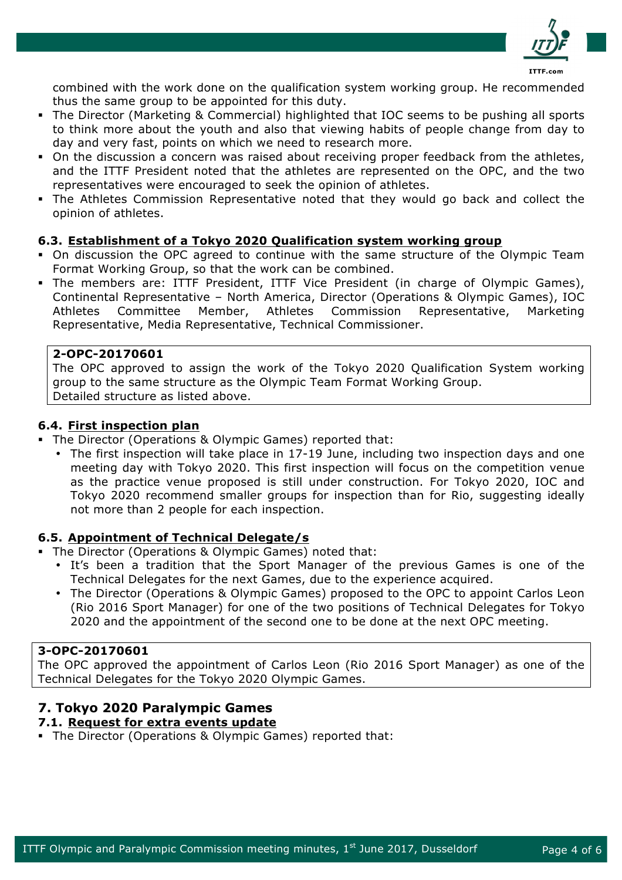

combined with the work done on the qualification system working group. He recommended thus the same group to be appointed for this duty.

- § The Director (Marketing & Commercial) highlighted that IOC seems to be pushing all sports to think more about the youth and also that viewing habits of people change from day to day and very fast, points on which we need to research more.
- On the discussion a concern was raised about receiving proper feedback from the athletes, and the ITTF President noted that the athletes are represented on the OPC, and the two representatives were encouraged to seek the opinion of athletes.
- The Athletes Commission Representative noted that they would go back and collect the opinion of athletes.

#### **6.3. Establishment of a Tokyo 2020 Qualification system working group**

- § On discussion the OPC agreed to continue with the same structure of the Olympic Team Format Working Group, so that the work can be combined.
- § The members are: ITTF President, ITTF Vice President (in charge of Olympic Games), Continental Representative – North America, Director (Operations & Olympic Games), IOC Athletes Committee Member, Athletes Commission Representative, Marketing Representative, Media Representative, Technical Commissioner.

#### **2-OPC-20170601**

The OPC approved to assign the work of the Tokyo 2020 Qualification System working group to the same structure as the Olympic Team Format Working Group. Detailed structure as listed above.

#### **6.4. First inspection plan**

- The Director (Operations & Olympic Games) reported that:
	- The first inspection will take place in 17-19 June, including two inspection days and one meeting day with Tokyo 2020. This first inspection will focus on the competition venue as the practice venue proposed is still under construction. For Tokyo 2020, IOC and Tokyo 2020 recommend smaller groups for inspection than for Rio, suggesting ideally not more than 2 people for each inspection.

#### **6.5. Appointment of Technical Delegate/s**

- § The Director (Operations & Olympic Games) noted that:
	- It's been a tradition that the Sport Manager of the previous Games is one of the Technical Delegates for the next Games, due to the experience acquired.
	- The Director (Operations & Olympic Games) proposed to the OPC to appoint Carlos Leon (Rio 2016 Sport Manager) for one of the two positions of Technical Delegates for Tokyo 2020 and the appointment of the second one to be done at the next OPC meeting.

#### **3-OPC-20170601**

The OPC approved the appointment of Carlos Leon (Rio 2016 Sport Manager) as one of the Technical Delegates for the Tokyo 2020 Olympic Games.

# **7. Tokyo 2020 Paralympic Games**

- **7.1. Request for extra events update**
- § The Director (Operations & Olympic Games) reported that: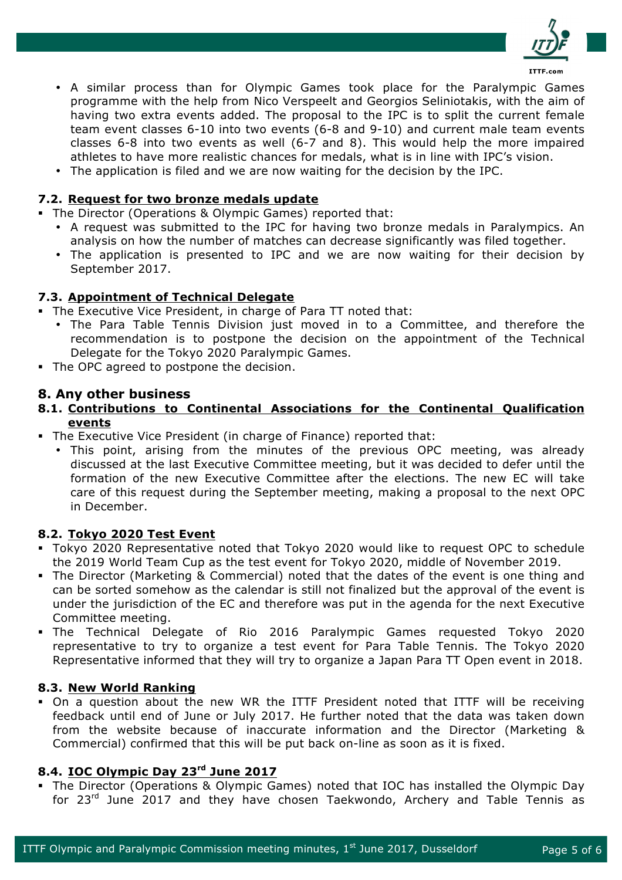

- A similar process than for Olympic Games took place for the Paralympic Games programme with the help from Nico Verspeelt and Georgios Seliniotakis, with the aim of having two extra events added. The proposal to the IPC is to split the current female team event classes 6-10 into two events (6-8 and 9-10) and current male team events classes 6-8 into two events as well (6-7 and 8). This would help the more impaired athletes to have more realistic chances for medals, what is in line with IPC's vision.
- The application is filed and we are now waiting for the decision by the IPC.

#### **7.2. Request for two bronze medals update**

- The Director (Operations & Olympic Games) reported that:
	- A request was submitted to the IPC for having two bronze medals in Paralympics. An analysis on how the number of matches can decrease significantly was filed together.
	- The application is presented to IPC and we are now waiting for their decision by September 2017.

#### **7.3. Appointment of Technical Delegate**

§ The Executive Vice President, in charge of Para TT noted that:

- The Para Table Tennis Division just moved in to a Committee, and therefore the recommendation is to postpone the decision on the appointment of the Technical Delegate for the Tokyo 2020 Paralympic Games.
- The OPC agreed to postpone the decision.

#### **8. Any other business**

#### **8.1. Contributions to Continental Associations for the Continental Qualification events**

- The Executive Vice President (in charge of Finance) reported that:
	- This point, arising from the minutes of the previous OPC meeting, was already discussed at the last Executive Committee meeting, but it was decided to defer until the formation of the new Executive Committee after the elections. The new EC will take care of this request during the September meeting, making a proposal to the next OPC in December.

#### **8.2. Tokyo 2020 Test Event**

- § Tokyo 2020 Representative noted that Tokyo 2020 would like to request OPC to schedule the 2019 World Team Cup as the test event for Tokyo 2020, middle of November 2019.
- § The Director (Marketing & Commercial) noted that the dates of the event is one thing and can be sorted somehow as the calendar is still not finalized but the approval of the event is under the jurisdiction of the EC and therefore was put in the agenda for the next Executive Committee meeting.
- § The Technical Delegate of Rio 2016 Paralympic Games requested Tokyo 2020 representative to try to organize a test event for Para Table Tennis. The Tokyo 2020 Representative informed that they will try to organize a Japan Para TT Open event in 2018.

#### **8.3. New World Ranking**

• On a question about the new WR the ITTF President noted that ITTF will be receiving feedback until end of June or July 2017. He further noted that the data was taken down from the website because of inaccurate information and the Director (Marketing & Commercial) confirmed that this will be put back on-line as soon as it is fixed.

#### **8.4. IOC Olympic Day 23rd June 2017**

§ The Director (Operations & Olympic Games) noted that IOC has installed the Olympic Day for 23<sup>rd</sup> June 2017 and they have chosen Taekwondo, Archery and Table Tennis as